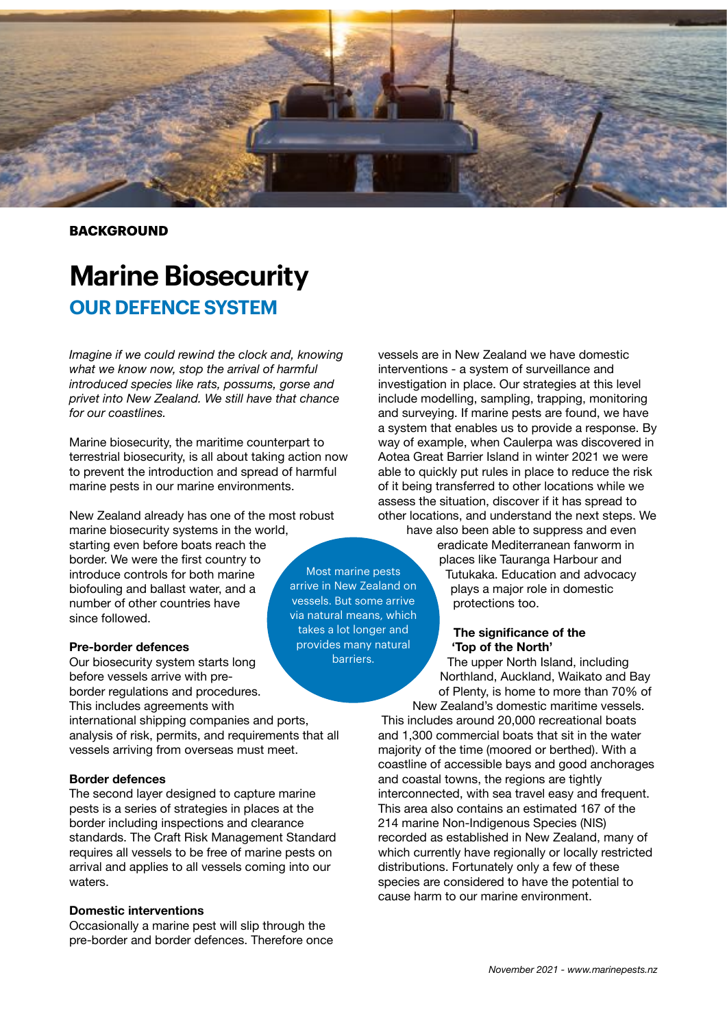

**BACKGROUND**

# **Marine Biosecurity OUR DEFENCE SYSTEM**

*Imagine if we could rewind the clock and, knowing what we know now, stop the arrival of harmful introduced species like rats, possums, gorse and privet into New Zealand. We still have that chance for our coastlines.* 

Marine biosecurity, the maritime counterpart to terrestrial biosecurity, is all about taking action now to prevent the introduction and spread of harmful marine pests in our marine environments.

New Zealand already has one of the most robust marine biosecurity systems in the world, starting even before boats reach the border. We were the first country to introduce controls for both marine biofouling and ballast water, and a number of other countries have since followed.

#### **Pre-border defences**

Our biosecurity system starts long before vessels arrive with preborder regulations and procedures. This includes agreements with international shipping companies and ports, analysis of risk, permits, and requirements that all vessels arriving from overseas must meet.

#### **Border defences**

The second layer designed to capture marine pests is a series of strategies in places at the border including inspections and clearance standards. The Craft Risk Management Standard requires all vessels to be free of marine pests on arrival and applies to all vessels coming into our waters.

#### **Domestic interventions**

Occasionally a marine pest will slip through the pre-border and border defences. Therefore once vessels are in New Zealand we have domestic interventions - a system of surveillance and investigation in place. Our strategies at this level include modelling, sampling, trapping, monitoring and surveying. If marine pests are found, we have a system that enables us to provide a response. By way of example, when Caulerpa was discovered in Aotea Great Barrier Island in winter 2021 we were able to quickly put rules in place to reduce the risk of it being transferred to other locations while we assess the situation, discover if it has spread to other locations, and understand the next steps. We

have also been able to suppress and even eradicate Mediterranean fanworm in places like Tauranga Harbour and Tutukaka. Education and advocacy plays a major role in domestic protections too.

#### **The significance of the 'Top of the North'**

The upper North Island, including Northland, Auckland, Waikato and Bay of Plenty, is home to more than 70% of New Zealand's domestic maritime vessels.

This includes around 20,000 recreational boats and 1,300 commercial boats that sit in the water majority of the time (moored or berthed). With a coastline of accessible bays and good anchorages and coastal towns, the regions are tightly interconnected, with sea travel easy and frequent. This area also contains an estimated 167 of the 214 marine Non-Indigenous Species (NIS) recorded as established in New Zealand, many of which currently have regionally or locally restricted distributions. Fortunately only a few of these species are considered to have the potential to cause harm to our marine environment.

Most marine pests arrive in New Zealand on vessels. But some arrive via natural means, which takes a lot longer and provides many natural barriers.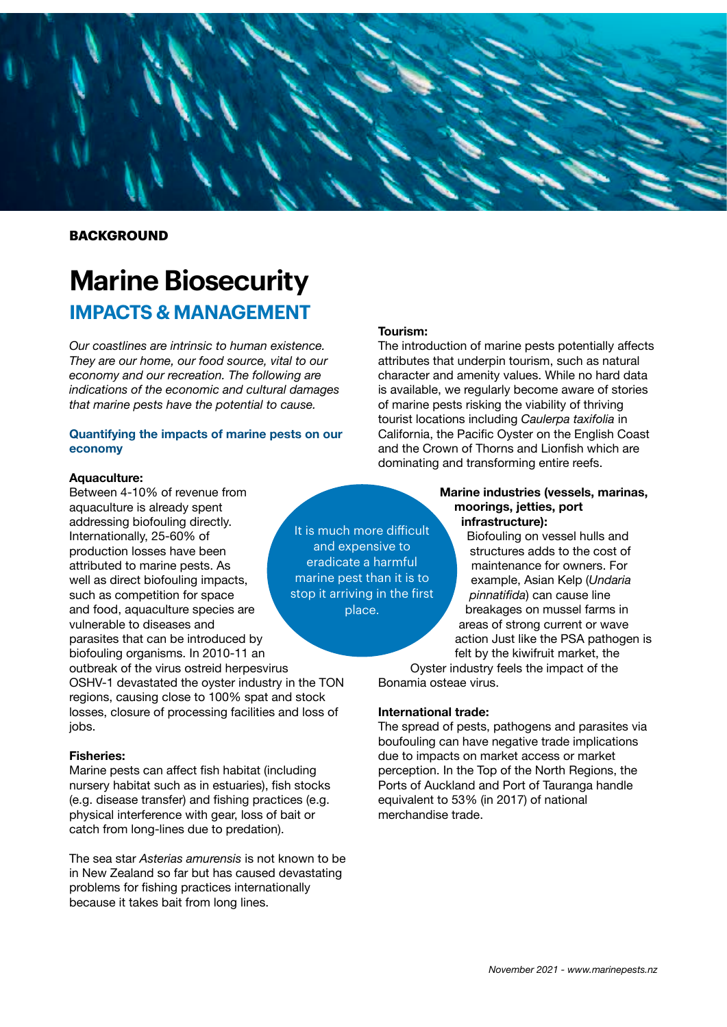

#### **BACKGROUND**

## **Marine Biosecurity IMPACTS & MANAGEMENT**

*Our coastlines are intrinsic to human existence. They are our home, our food source, vital to our economy and our recreation. The following are indications of the economic and cultural damages that marine pests have the potential to cause.* 

#### **Quantifying the impacts of marine pests on our economy**

#### **Aquaculture:**

Between 4-10% of revenue from aquaculture is already spent addressing biofouling directly. Internationally, 25-60% of production losses have been attributed to marine pests. As well as direct biofouling impacts, such as competition for space and food, aquaculture species are vulnerable to diseases and parasites that can be introduced by biofouling organisms. In 2010-11 an outbreak of the virus ostreid herpesvirus

OSHV-1 devastated the oyster industry in the TON regions, causing close to 100% spat and stock losses, closure of processing facilities and loss of jobs.

#### **Fisheries:**

Marine pests can affect fish habitat (including nursery habitat such as in estuaries), fish stocks (e.g. disease transfer) and fishing practices (e.g. physical interference with gear, loss of bait or catch from long-lines due to predation).

The sea star *Asterias amurensis* is not known to be in New Zealand so far but has caused devastating problems for fishing practices internationally because it takes bait from long lines.

#### **Tourism:**

It is much more difficult and expensive to eradicate a harmful marine pest than it is to stop it arriving in the first place.

The introduction of marine pests potentially affects attributes that underpin tourism, such as natural character and amenity values. While no hard data is available, we regularly become aware of stories of marine pests risking the viability of thriving tourist locations including *Caulerpa taxifolia* in California, the Pacific Oyster on the English Coast and the Crown of Thorns and Lionfish which are dominating and transforming entire reefs.

#### **Marine industries (vessels, marinas, moorings, jetties, port infrastructure):**

Biofouling on vessel hulls and structures adds to the cost of maintenance for owners. For example, Asian Kelp (*Undaria pinnatifida*) can cause line breakages on mussel farms in areas of strong current or wave action Just like the PSA pathogen is felt by the kiwifruit market, the

Oyster industry feels the impact of the Bonamia osteae virus.

#### **International trade:**

The spread of pests, pathogens and parasites via boufouling can have negative trade implications due to impacts on market access or market perception. In the Top of the North Regions, the Ports of Auckland and Port of Tauranga handle equivalent to 53% (in 2017) of national merchandise trade.